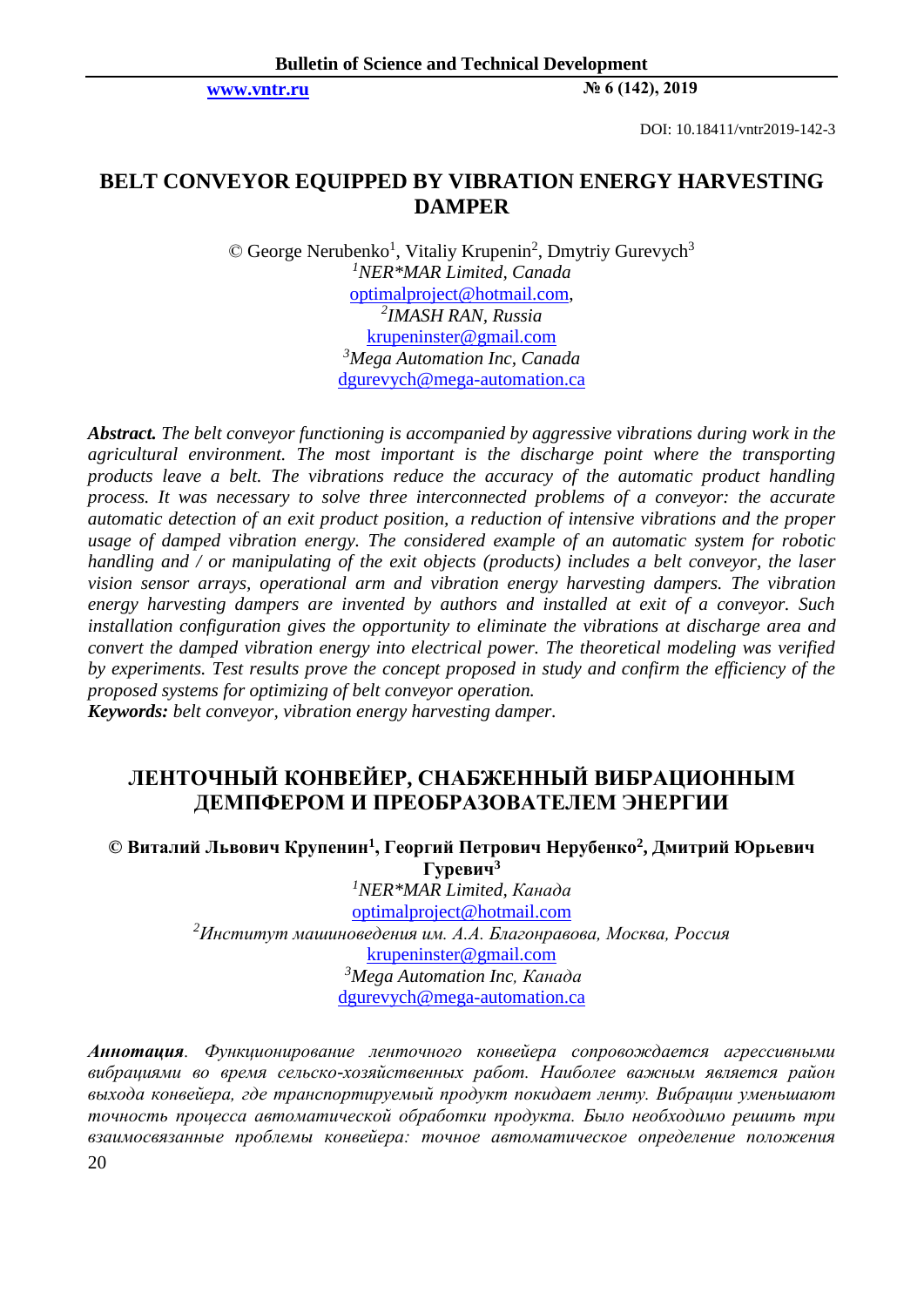**[www.vntr.ru](http://www.vntr.ru/) № 6 (142), 2019**

DOI: 10.18411/vntr2019-142-3

## **BELT CONVEYOR EQUIPPED BY VIBRATION ENERGY HARVESTING DAMPER**

© George Nerubenko<sup>1</sup>, Vitaliy Krupenin<sup>2</sup>, Dmytriy Gurevych<sup>3</sup> *<sup>1</sup>NER\*MAR Limited, Canada* [optimalproject@hotmail.com,](mailto:optimalproject@hotmail.com) *2 IMASH RAN, Russia*  [krupeninster@gmail.com](mailto:krupeninster@gmail.com) *<sup>3</sup>Mega Automation Inc, Canada* [dgurevych@mega-automation.ca](mailto:dgurevych@mega-automation.ca)

*Abstract. The belt conveyor functioning is accompanied by aggressive vibrations during work in the agricultural environment. The most important is the discharge point where the transporting products leave a belt. The vibrations reduce the accuracy of the automatic product handling process. It was necessary to solve three interconnected problems of a conveyor: the accurate automatic detection of an exit product position, a reduction of intensive vibrations and the proper usage of damped vibration energy. The considered example of an automatic system for robotic handling and / or manipulating of the exit objects (products) includes a belt conveyor, the laser vision sensor arrays, operational arm and vibration energy harvesting dampers. The vibration energy harvesting dampers are invented by authors and installed at exit of a conveyor. Such installation configuration gives the opportunity to eliminate the vibrations at discharge area and convert the damped vibration energy into electrical power. The theoretical modeling was verified by experiments. Test results prove the concept proposed in study and confirm the efficiency of the proposed systems for optimizing of belt conveyor operation. Keywords: belt conveyor, vibration energy harvesting damper.*

# **ЛЕНТОЧНЫЙ КОНВЕЙЕР, СНАБЖЕННЫЙ ВИБРАЦИОННЫМ ДЕМПФЕРОМ И ПРЕОБРАЗОВАТЕЛЕМ ЭНЕРГИИ**

### **© Виталий Львович Крупенин<sup>1</sup> , Георгий Петрович Нерубенко<sup>2</sup> , Дмитрий Юрьевич Гуревич<sup>3</sup>**

*<sup>1</sup>NER\*MAR Limited, Канада* [optimalproject@hotmail.com](mailto:optimalproject@hotmail.com) *<sup>2</sup>Институт машиноведения им. А.А. Благонравова, Москва, Россия* [krupeninster@gmail.com](mailto:krupeninster@gmail.com) *<sup>3</sup>Mega Automation Inc, Канада* [dgurevych@mega-automation.ca](mailto:dgurevych@mega-automation.ca)

20 *Аннотация. Функционирование ленточного конвейера сопровождается агрессивными вибрациями во время сельско-хозяйственных работ. Наиболее важным является район выхода конвейера, где транспортируемый продукт покидает ленту. Вибрации уменьшают точность процесса автоматической обработки продукта. Было необходимо решить три взаимосвязанные проблемы конвейера: точное автоматическое определение положения*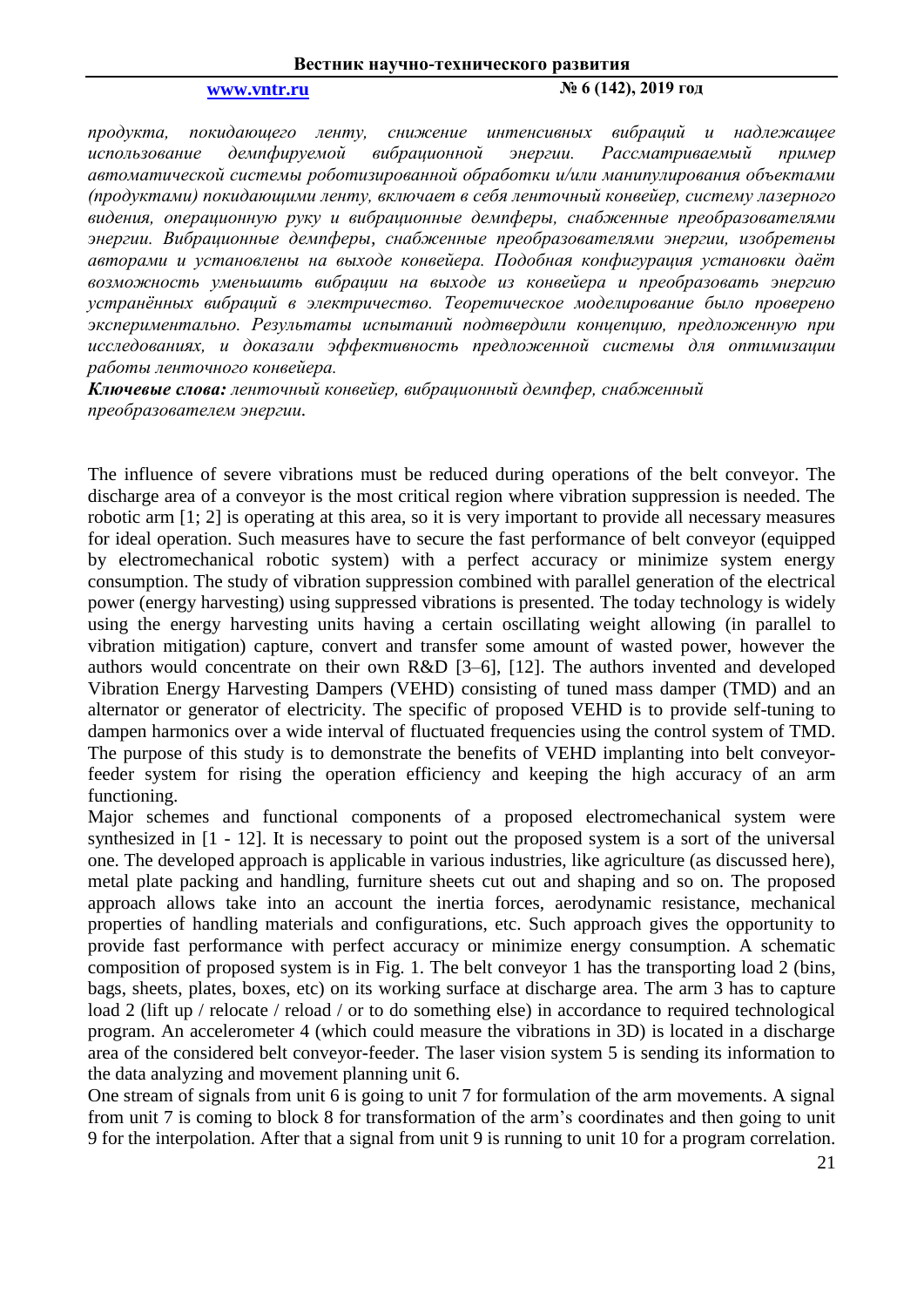### **[www.vntr.ru](http://www.vntr.ru/) № 6 (142), 2019 год**

*продукта, покидающего ленту, снижение интенсивных вибраций и надлежащее*  использование демпфируемой вибрационной энергии. Рассматриваемый пример *автоматической системы роботизированной обработки и/или манипулирования объектами (продуктами) покидающими ленту, включает в себя ленточный конвейер, систему лазерного видения, операционную руку и вибрационные демпферы, снабженные преобразователями энергии. Вибрационные демпферы, снабженные преобразователями энергии, изобретены авторами и установлены на выходе конвейера. Подобная конфигурация установки даёт возможность уменьшить вибрации на выходе из конвейера и преобразовать энергию устранённых вибраций в электричество. Теоретическое моделирование было проверено экспериментально. Результаты испытаний подтвердили концепцию, предложенную при исследованиях, и доказали эффективность предложенной системы для оптимизации работы ленточного конвейера.* 

*Ключевые слова: ленточный конвейер, вибрационный демпфер, снабженный преобразователем энергии.*

The influence of severe vibrations must be reduced during operations of the belt conveyor. The discharge area of a conveyor is the most critical region where vibration suppression is needed. The robotic arm [1; 2] is operating at this area, so it is very important to provide all necessary measures for ideal operation. Such measures have to secure the fast performance of belt conveyor (equipped by electromechanical robotic system) with a perfect accuracy or minimize system energy consumption. The study of vibration suppression combined with parallel generation of the electrical power (energy harvesting) using suppressed vibrations is presented. The today technology is widely using the energy harvesting units having a certain oscillating weight allowing (in parallel to vibration mitigation) capture, convert and transfer some amount of wasted power, however the authors would concentrate on their own R&D [3–6], [12]. The authors invented and developed Vibration Energy Harvesting Dampers (VEHD) consisting of tuned mass damper (TMD) and an alternator or generator of electricity. The specific of proposed VEHD is to provide self-tuning to dampen harmonics over a wide interval of fluctuated frequencies using the control system of TMD. The purpose of this study is to demonstrate the benefits of VEHD implanting into belt conveyorfeeder system for rising the operation efficiency and keeping the high accuracy of an arm functioning.

Major schemes and functional components of a proposed electromechanical system were synthesized in [1 - 12]. It is necessary to point out the proposed system is a sort of the universal one. The developed approach is applicable in various industries, like agriculture (as discussed here), metal plate packing and handling, furniture sheets cut out and shaping and so on. The proposed approach allows take into an account the inertia forces, aerodynamic resistance, mechanical properties of handling materials and configurations, etc. Such approach gives the opportunity to provide fast performance with perfect accuracy or minimize energy consumption. A schematic composition of proposed system is in Fig. 1. The belt conveyor 1 has the transporting load 2 (bins, bags, sheets, plates, boxes, etc) on its working surface at discharge area. The arm 3 has to capture load 2 (lift up / relocate / reload / or to do something else) in accordance to required technological program. An accelerometer 4 (which could measure the vibrations in 3D) is located in a discharge area of the considered belt conveyor-feeder. The laser vision system 5 is sending its information to the data analyzing and movement planning unit 6.

One stream of signals from unit 6 is going to unit 7 for formulation of the arm movements. A signal from unit 7 is coming to block 8 for transformation of the arm's coordinates and then going to unit 9 for the interpolation. After that a signal from unit 9 is running to unit 10 for a program correlation.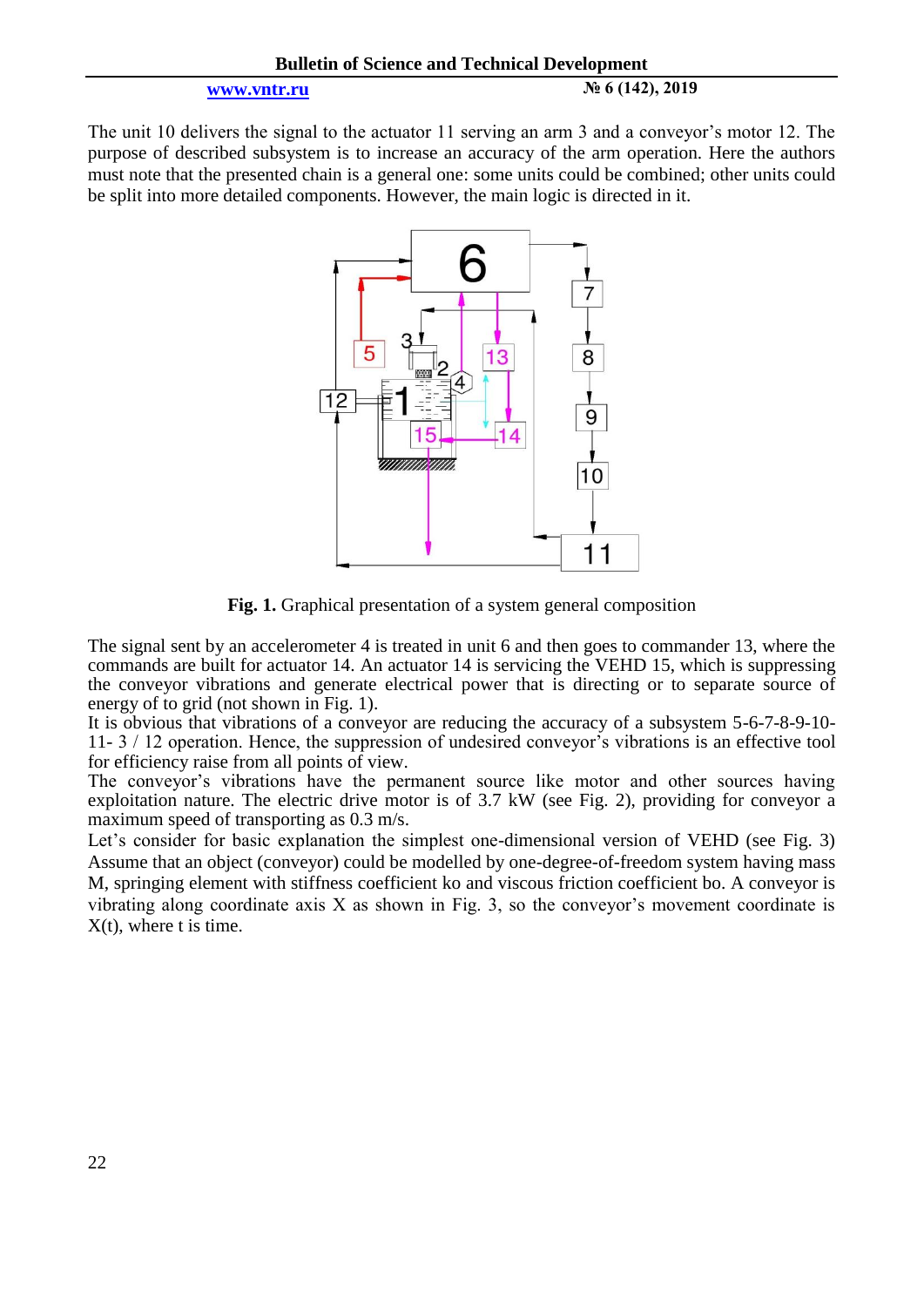**[www.vntr.ru](http://www.vntr.ru/) № 6 (142), 2019**

The unit 10 delivers the signal to the actuator 11 serving an arm 3 and a conveyor's motor 12. The purpose of described subsystem is to increase an accuracy of the arm operation. Here the authors must note that the presented chain is a general one: some units could be combined; other units could be split into more detailed components. However, the main logic is directed in it.



**Fig. 1.** Graphical presentation of a system general composition

The signal sent by an accelerometer 4 is treated in unit 6 and then goes to commander 13, where the commands are built for actuator 14. An actuator 14 is servicing the VEHD 15, which is suppressing the conveyor vibrations and generate electrical power that is directing or to separate source of energy of to grid (not shown in Fig. 1).

It is obvious that vibrations of a conveyor are reducing the accuracy of a subsystem 5-6-7-8-9-10- 11- 3 / 12 operation. Hence, the suppression of undesired conveyor's vibrations is an effective tool for efficiency raise from all points of view.

The conveyor's vibrations have the permanent source like motor and other sources having exploitation nature. The electric drive motor is of 3.7 kW (see Fig. 2), providing for conveyor a maximum speed of transporting as 0.3 m/s.

Let's consider for basic explanation the simplest one-dimensional version of VEHD (see Fig. 3) Assume that an object (conveyor) could be modelled by one-degree-of-freedom system having mass M, springing element with stiffness coefficient ko and viscous friction coefficient bo. A conveyor is vibrating along coordinate axis X as shown in Fig. 3, so the conveyor's movement coordinate is X(t), where t is time.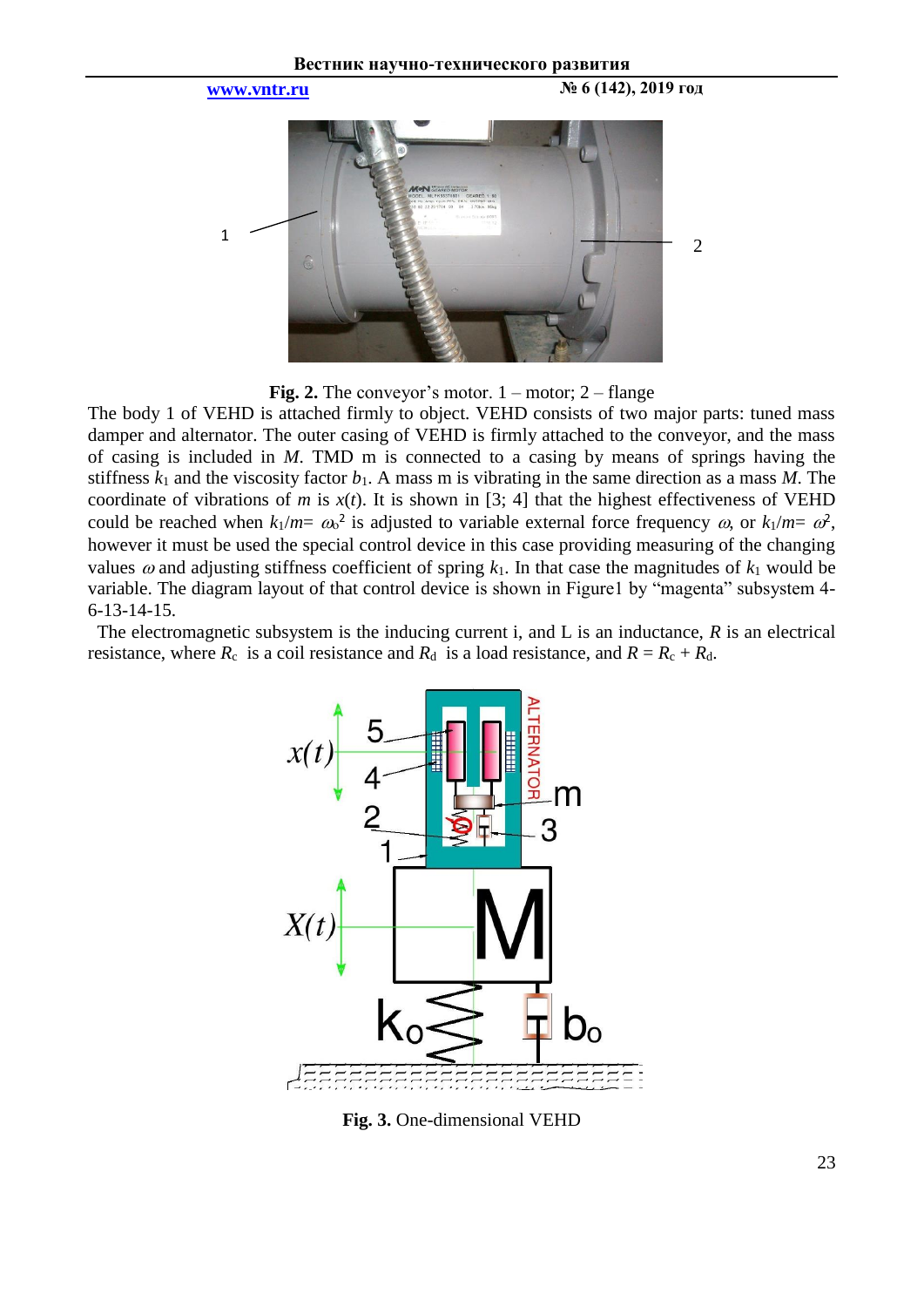

**Fig. 2.** The conveyor's motor.  $1 -$  motor;  $2 -$  flange

The body 1 of VEHD is attached firmly to object. VEHD consists of two major parts: tuned mass damper and alternator. The outer casing of VEHD is firmly attached to the conveyor, and the mass of casing is included in *M*. TMD m is connected to a casing by means of springs having the stiffness  $k_1$  and the viscosity factor  $b_1$ . A mass m is vibrating in the same direction as a mass M. The coordinate of vibrations of *m* is  $x(t)$ . It is shown in [3; 4] that the highest effectiveness of VEHD could be reached when  $k_1/m = \omega^2$  is adjusted to variable external force frequency  $\omega$ , or  $k_1/m = \omega^2$ , however it must be used the special control device in this case providing measuring of the changing values  $\omega$  and adjusting stiffness coefficient of spring  $k_1$ . In that case the magnitudes of  $k_1$  would be variable. The diagram layout of that control device is shown in Figure1 by "magenta" subsystem 4- 6-13-14-15.

 The electromagnetic subsystem is the inducing current i, and L is an inductance, *R* is an electrical resistance, where  $R_c$  is a coil resistance and  $R_d$  is a load resistance, and  $R = R_c + R_d$ .



**Fig. 3.** One-dimensional VEHD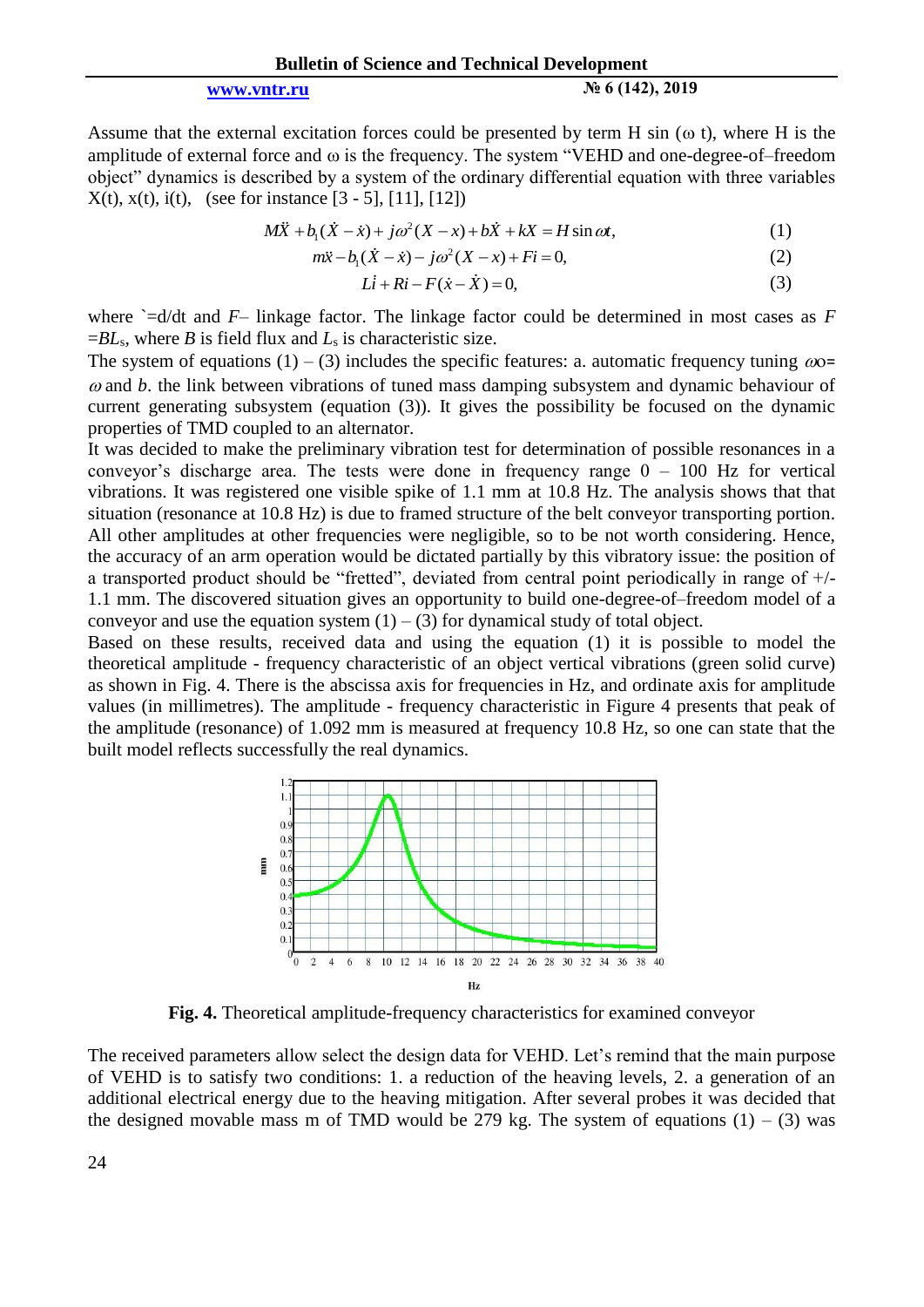### **[www.vntr.ru](http://www.vntr.ru/) № 6 (142), 2019**

Assume that the external excitation forces could be presented by term H sin ( $\omega$  t), where H is the amplitude of external force and  $\omega$  is the frequency. The system "VEHD and one-degree-of–freedom object" dynamics is described by a system of the ordinary differential equation with three variables  $X(t)$ ,  $x(t)$ , i(t), (see for instance [3 - 5], [11], [12])<br>  $M\ddot{X} + b_1(\dot{X} - \dot{x}) + j\omega^2(X - x) + b\dot{X} + kX = H \sin \omega t$ ,

$$
M\ddot{X} + b_1(\dot{X} - \dot{x}) + j\omega^2(X - x) + b\dot{X} + kX = H\sin\omega t,\tag{1}
$$

$$
b_1(X - x) + j\omega^2(X - x) + bX + kX = H \sin \omega t,
$$
  
\n
$$
m\ddot{x} - b_1(\dot{X} - \dot{x}) - j\omega^2(X - x) + Fi = 0,
$$
\n(1)

$$
Li + Ri - F(\dot{x} - \dot{X}) = 0,\tag{3}
$$

where  $=$ d/dt and *F*– linkage factor. The linkage factor could be determined in most cases as *F*  $=BL<sub>s</sub>$ , where *B* is field flux and  $L<sub>s</sub>$  is characteristic size.

The system of equations (1) – (3) includes the specific features: a. automatic frequency tuning  $\omega$ o=  $\omega$  and  $\dot{\theta}$ . the link between vibrations of tuned mass damping subsystem and dynamic behaviour of current generating subsystem (equation (3)). It gives the possibility be focused on the dynamic properties of TMD coupled to an alternator.

It was decided to make the preliminary vibration test for determination of possible resonances in a conveyor's discharge area. The tests were done in frequency range  $0 - 100$  Hz for vertical vibrations. It was registered one visible spike of 1.1 mm at 10.8 Hz. The analysis shows that that situation (resonance at 10.8 Hz) is due to framed structure of the belt conveyor transporting portion. All other amplitudes at other frequencies were negligible, so to be not worth considering. Hence, the accuracy of an arm operation would be dictated partially by this vibratory issue: the position of a transported product should be "fretted", deviated from central point periodically in range of  $+/-$ 1.1 mm. The discovered situation gives an opportunity to build one-degree-of–freedom model of a conveyor and use the equation system  $(1) - (3)$  for dynamical study of total object.

Based on these results, received data and using the equation (1) it is possible to model the theoretical amplitude - frequency characteristic of an object vertical vibrations (green solid curve) as shown in Fig. 4. There is the abscissa axis for frequencies in Hz, and ordinate axis for amplitude values (in millimetres). The amplitude - frequency characteristic in Figure 4 presents that peak of the amplitude (resonance) of 1.092 mm is measured at frequency 10.8 Hz, so one can state that the built model reflects successfully the real dynamics.



**Fig. 4.** Theoretical amplitude-frequency characteristics for examined conveyor

The received parameters allow select the design data for VEHD. Let's remind that the main purpose of VEHD is to satisfy two conditions: 1. a reduction of the heaving levels, 2. a generation of an additional electrical energy due to the heaving mitigation. After several probes it was decided that the designed movable mass m of TMD would be 279 kg. The system of equations  $(1) - (3)$  was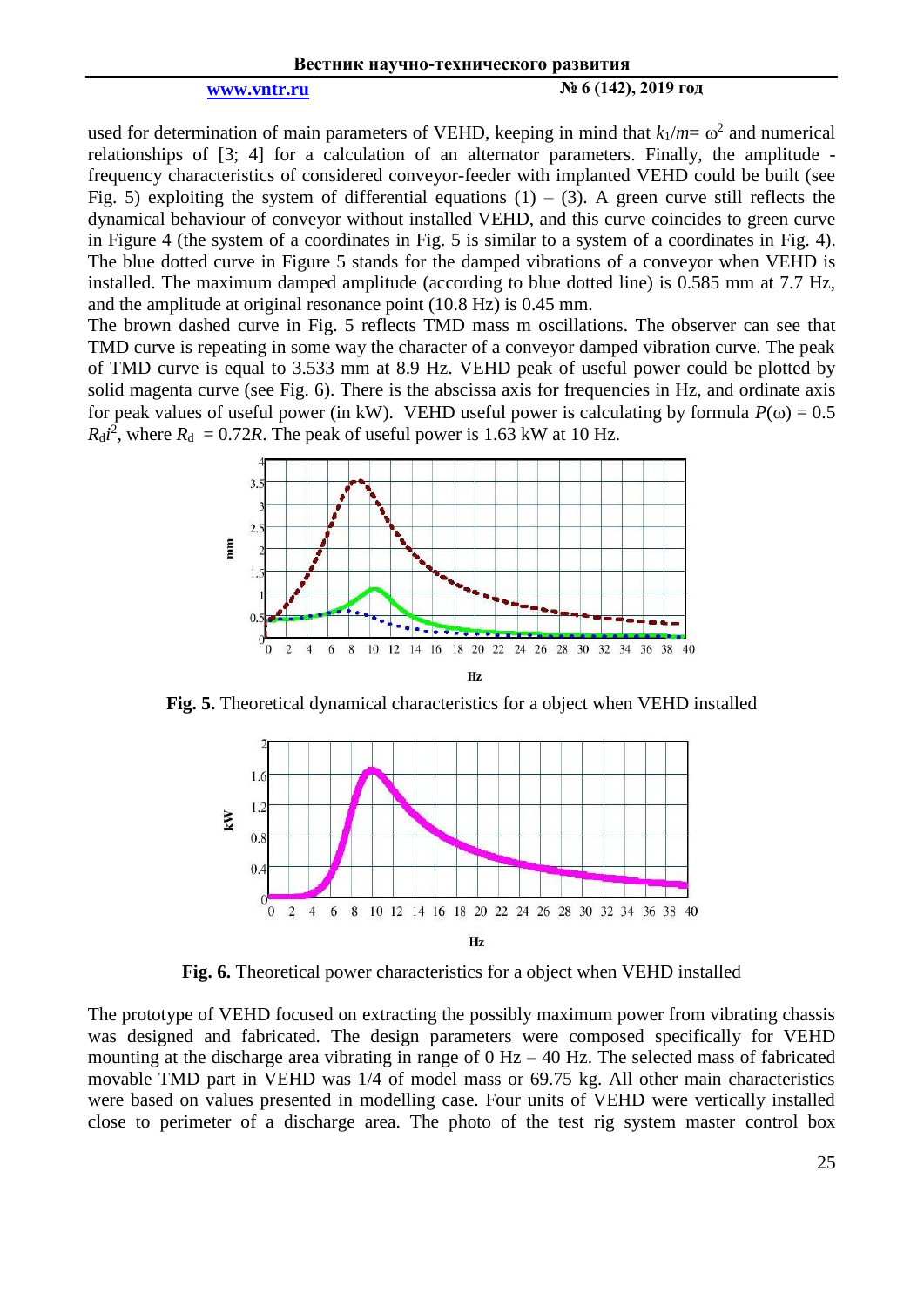**[www.vntr.ru](http://www.vntr.ru/) № 6 (142), 2019 год**

used for determination of main parameters of VEHD, keeping in mind that  $k_1/m = \omega^2$  and numerical relationships of [3; 4] for a calculation of an alternator parameters. Finally, the amplitude frequency characteristics of considered conveyor-feeder with implanted VEHD could be built (see Fig. 5) exploiting the system of differential equations  $(1) - (3)$ . A green curve still reflects the dynamical behaviour of conveyor without installed VEHD, and this curve coincides to green curve in Figure 4 (the system of a coordinates in Fig. 5 is similar to a system of a coordinates in Fig. 4). The blue dotted curve in Figure 5 stands for the damped vibrations of a conveyor when VEHD is installed. The maximum damped amplitude (according to blue dotted line) is 0.585 mm at 7.7 Hz, and the amplitude at original resonance point (10.8 Hz) is 0.45 mm.

The brown dashed curve in Fig. 5 reflects TMD mass m oscillations. The observer can see that TMD curve is repeating in some way the character of a conveyor damped vibration curve. The peak of TMD curve is equal to 3.533 mm at 8.9 Hz. VEHD peak of useful power could be plotted by solid magenta curve (see Fig. 6). There is the abscissa axis for frequencies in Hz, and ordinate axis for peak values of useful power (in kW). VEHD useful power is calculating by formula  $P(\omega) = 0.5$  $R_{\rm d}i^2$ , where  $R_{\rm d} = 0.72R$ . The peak of useful power is 1.63 kW at 10 Hz.



**Fig. 5.** Theoretical dynamical characteristics for a object when VEHD installed



**Fig. 6.** Theoretical power characteristics for a object when VEHD installed

The prototype of VEHD focused on extracting the possibly maximum power from vibrating chassis was designed and fabricated. The design parameters were composed specifically for VEHD mounting at the discharge area vibrating in range of  $0$  Hz  $-$  40 Hz. The selected mass of fabricated movable TMD part in VEHD was 1/4 of model mass or 69.75 kg. All other main characteristics were based on values presented in modelling case. Four units of VEHD were vertically installed close to perimeter of a discharge area. The photo of the test rig system master control box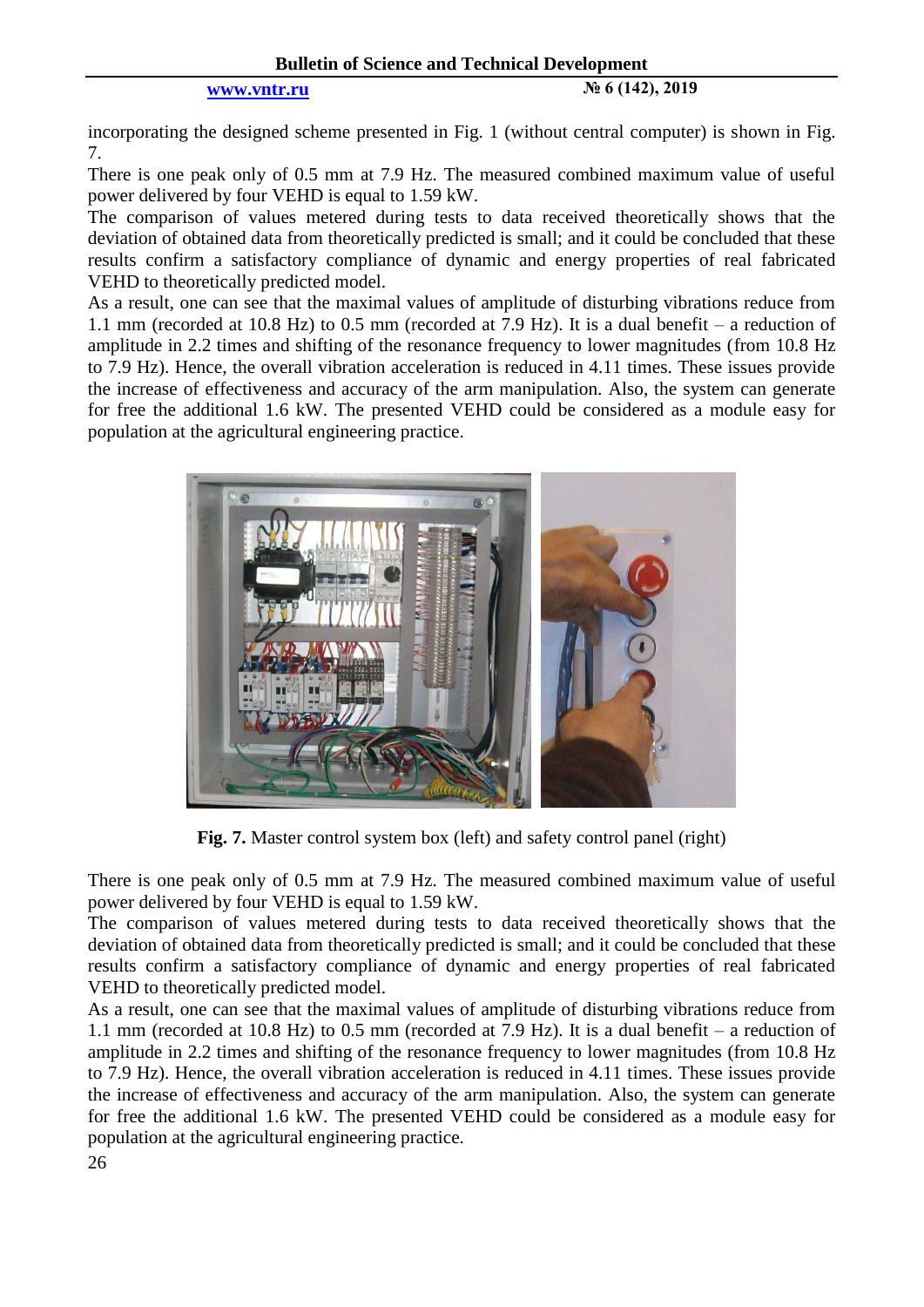### **Bulletin of Science and Technical Development**

### **[www.vntr.ru](http://www.vntr.ru/) № 6 (142), 2019**

incorporating the designed scheme presented in Fig. 1 (without central computer) is shown in Fig. 7.

There is one peak only of 0.5 mm at 7.9 Hz. The measured combined maximum value of useful power delivered by four VEHD is equal to 1.59 kW.

The comparison of values metered during tests to data received theoretically shows that the deviation of obtained data from theoretically predicted is small; and it could be concluded that these results confirm a satisfactory compliance of dynamic and energy properties of real fabricated VEHD to theoretically predicted model.

As a result, one can see that the maximal values of amplitude of disturbing vibrations reduce from 1.1 mm (recorded at 10.8 Hz) to 0.5 mm (recorded at 7.9 Hz). It is a dual benefit – a reduction of amplitude in 2.2 times and shifting of the resonance frequency to lower magnitudes (from 10.8 Hz to 7.9 Hz). Hence, the overall vibration acceleration is reduced in 4.11 times. These issues provide the increase of effectiveness and accuracy of the arm manipulation. Also, the system can generate for free the additional 1.6 kW. The presented VEHD could be considered as a module easy for population at the agricultural engineering practice.



Fig. 7. Master control system box (left) and safety control panel (right)

There is one peak only of 0.5 mm at 7.9 Hz. The measured combined maximum value of useful power delivered by four VEHD is equal to 1.59 kW.

The comparison of values metered during tests to data received theoretically shows that the deviation of obtained data from theoretically predicted is small; and it could be concluded that these results confirm a satisfactory compliance of dynamic and energy properties of real fabricated VEHD to theoretically predicted model.

As a result, one can see that the maximal values of amplitude of disturbing vibrations reduce from 1.1 mm (recorded at 10.8 Hz) to 0.5 mm (recorded at 7.9 Hz). It is a dual benefit – a reduction of amplitude in 2.2 times and shifting of the resonance frequency to lower magnitudes (from 10.8 Hz to 7.9 Hz). Hence, the overall vibration acceleration is reduced in 4.11 times. These issues provide the increase of effectiveness and accuracy of the arm manipulation. Also, the system can generate for free the additional 1.6 kW. The presented VEHD could be considered as a module easy for population at the agricultural engineering practice.